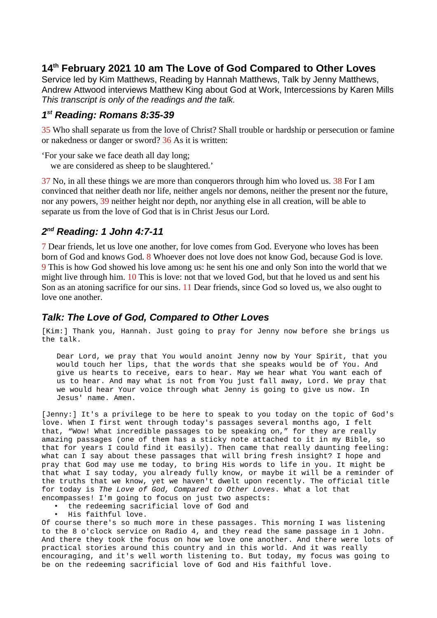# **14th February 2021 10 am The Love of God Compared to Other Loves**

Service led by Kim Matthews, Reading by Hannah Matthews, Talk by Jenny Matthews, Andrew Attwood interviews Matthew King about God at Work, Intercessions by Karen Mills *This transcript is only of the readings and the talk.*

#### *1 st Reading: Romans 8:35-39*

35 Who shall separate us from the love of Christ? Shall trouble or hardship or persecution or famine or nakedness or danger or sword? 36 As it is written:

'For your sake we face death all day long;

we are considered as sheep to be slaughtered.'

37 No, in all these things we are more than conquerors through him who loved us. 38 For I am convinced that neither death nor life, neither angels nor demons, neither the present nor the future, nor any powers, 39 neither height nor depth, nor anything else in all creation, will be able to separate us from the love of God that is in Christ Jesus our Lord.

## *2 nd Reading: 1 John 4:7-11*

7 Dear friends, let us love one another, for love comes from God. Everyone who loves has been born of God and knows God. 8 Whoever does not love does not know God, because God is love. 9 This is how God showed his love among us: he sent his one and only Son into the world that we might live through him. 10 This is love: not that we loved God, but that he loved us and sent his Son as an atoning sacrifice for our sins. 11 Dear friends, since God so loved us, we also ought to love one another.

### *Talk: The Love of God, Compared to Other Loves*

[Kim:] Thank you, Hannah. Just going to pray for Jenny now before she brings us the talk.

Dear Lord, we pray that You would anoint Jenny now by Your Spirit, that you would touch her lips, that the words that she speaks would be of You. And give us hearts to receive, ears to hear. May we hear what You want each of us to hear. And may what is not from You just fall away, Lord. We pray that we would hear Your voice through what Jenny is going to give us now. In Jesus' name. Amen.

[Jenny:] It's a privilege to be here to speak to you today on the topic of God's love. When I first went through today's passages several months ago, I felt that, "Wow! What incredible passages to be speaking on," for they are really amazing passages (one of them has a sticky note attached to it in my Bible, so that for years I could find it easily). Then came that really daunting feeling: what can I say about these passages that will bring fresh insight? I hope and pray that God may use me today, to bring His words to life in you. It might be that what I say today, you already fully know, or maybe it will be a reminder of the truths that we know, yet we haven't dwelt upon recently. The official title for today is *The Love of God, Compared to Other Loves*. What a lot that encompasses! I'm going to focus on just two aspects:

- the redeeming sacrificial love of God and
- His faithful love.

Of course there's so much more in these passages. This morning I was listening to the 8 o'clock service on Radio 4, and they read the same passage in 1 John. And there they took the focus on how we love one another. And there were lots of practical stories around this country and in this world. And it was really encouraging, and it's well worth listening to. But today, my focus was going to be on the redeeming sacrificial love of God and His faithful love.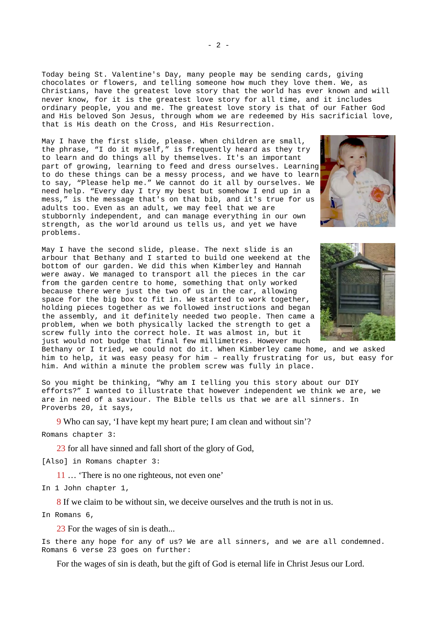Today being St. Valentine's Day, many people may be sending cards, giving chocolates or flowers, and telling someone how much they love them. We, as Christians, have the greatest love story that the world has ever known and will never know, for it is the greatest love story for all time, and it includes ordinary people, you and me. The greatest love story is that of our Father God and His beloved Son Jesus, through whom we are redeemed by His sacrificial love, that is His death on the Cross, and His Resurrection.

May I have the first slide, please. When children are small, the phrase, "I do it myself," is frequently heard as they try to learn and do things all by themselves. It's an important part of growing, learning to feed and dress ourselves. Learning to do these things can be a messy process, and we have to learn to say, "Please help me." We cannot do it all by ourselves. We need help. "Every day I try my best but somehow I end up in a mess," is the message that's on that bib, and it's true for us adults too. Even as an adult, we may feel that we are stubbornly independent, and can manage everything in our own strength, as the world around us tells us, and yet we have problems.

May I have the second slide, please. The next slide is an arbour that Bethany and I started to build one weekend at the bottom of our garden. We did this when Kimberley and Hannah were away. We managed to transport all the pieces in the car from the garden centre to home, something that only worked because there were just the two of us in the car, allowing space for the big box to fit in. We started to work together, holding pieces together as we followed instructions and began the assembly, and it definitely needed two people. Then came a problem, when we both physically lacked the strength to get a screw fully into the correct hole. It was almost in, but it just would not budge that final few millimetres. However much



Bethany or I tried, we could not do it. When Kimberley came home, and we asked him to help, it was easy peasy for him - really frustrating for us, but easy for him. And within a minute the problem screw was fully in place.

So you might be thinking, "Why am I telling you this story about our DIY efforts?" I wanted to illustrate that however independent we think we are, we are in need of a saviour. The Bible tells us that we are all sinners. In Proverbs 20, it says,

9 Who can say, 'I have kept my heart pure; I am clean and without sin'? Romans chapter 3:

23 for all have sinned and fall short of the glory of God,

[Also] in Romans chapter 3:

11 … 'There is no one righteous, not even one'

In 1 John chapter 1,

8 If we claim to be without sin, we deceive ourselves and the truth is not in us.

In Romans 6,

23 For the wages of sin is death...

Is there any hope for any of us? We are all sinners, and we are all condemned. Romans 6 verse 23 goes on further:

For the wages of sin is death, but the gift of God is eternal life in Christ Jesus our Lord.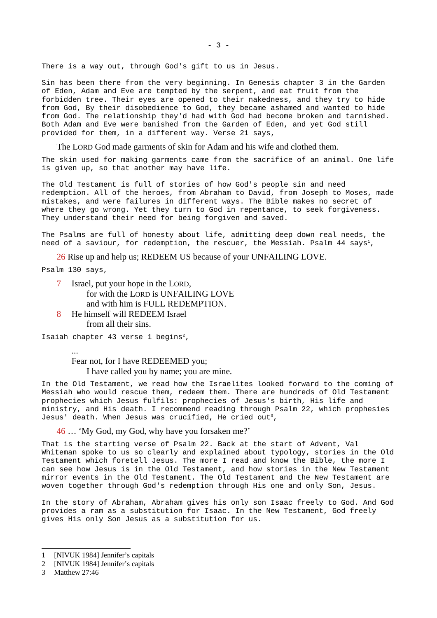There is a way out, through God's gift to us in Jesus.

Sin has been there from the very beginning. In Genesis chapter 3 in the Garden of Eden, Adam and Eve are tempted by the serpent, and eat fruit from the forbidden tree. Their eyes are opened to their nakedness, and they try to hide from God, By their disobedience to God, they became ashamed and wanted to hide from God. The relationship they'd had with God had become broken and tarnished. Both Adam and Eve were banished from the Garden of Eden, and yet God still provided for them, in a different way. Verse 21 says,

The LORD God made garments of skin for Adam and his wife and clothed them.

The skin used for making garments came from the sacrifice of an animal. One life is given up, so that another may have life.

The Old Testament is full of stories of how God's people sin and need redemption. All of the heroes, from Abraham to David, from Joseph to Moses, made mistakes, and were failures in different ways. The Bible makes no secret of where they go wrong. Yet they turn to God in repentance, to seek forgiveness. They understand their need for being forgiven and saved.

The Psalms are full of honesty about life, admitting deep down real needs, the need of a saviour, for redemption, the rescuer, the Messiah. Psalm 44 says<sup>[1](#page-2-0)</sup>,

26 Rise up and help us; REDEEM US because of your UNFAILING LOVE.

Psalm 130 says,

- 7 Israel, put your hope in the LORD, for with the LORD is UNFAILING LOVE and with him is FULL REDEMPTION.
- 8 He himself will REDEEM Israel from all their sins.

Isaiah chapter 43 verse 1 begins[2](#page-2-1),

... Fear not, for I have REDEEMED you; I have called you by name; you are mine.

In the Old Testament, we read how the Israelites looked forward to the coming of Messiah who would rescue them, redeem them. There are hundreds of Old Testament prophecies which Jesus fulfils: prophecies of Jesus's birth, His life and ministry, and His death. I recommend reading through Psalm 22, which prophesies Jesus' death. When Jesus was crucified, He cried out<sup>[3](#page-2-2)</sup>,

46 … 'My God, my God, why have you forsaken me?'

That is the starting verse of Psalm 22. Back at the start of Advent, Val Whiteman spoke to us so clearly and explained about typology, stories in the Old Testament which foretell Jesus. The more I read and know the Bible, the more I can see how Jesus is in the Old Testament, and how stories in the New Testament mirror events in the Old Testament. The Old Testament and the New Testament are woven together through God's redemption through His one and only Son, Jesus.

In the story of Abraham, Abraham gives his only son Isaac freely to God. And God provides a ram as a substitution for Isaac. In the New Testament, God freely gives His only Son Jesus as a substitution for us.

<span id="page-2-0"></span><sup>1</sup> [NIVUK 1984] Jennifer's capitals

<span id="page-2-1"></span><sup>2</sup> [NIVUK 1984] Jennifer's capitals

<span id="page-2-2"></span><sup>3</sup> Matthew 27:46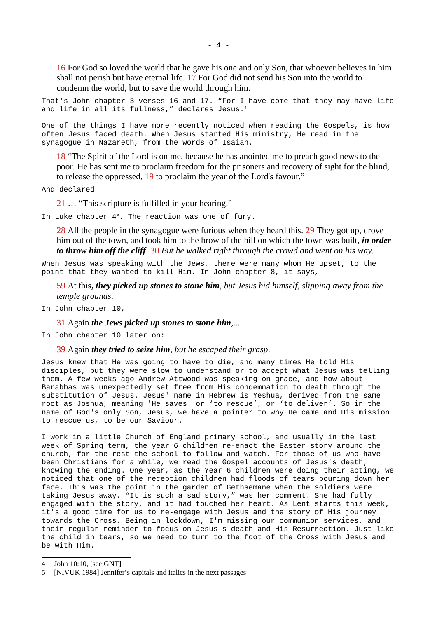16 For God so loved the world that he gave his one and only Son, that whoever believes in him shall not perish but have eternal life. 17 For God did not send his Son into the world to condemn the world, but to save the world through him.

That's John chapter 3 verses 16 and 17. "For I have come that they may have life and life in all its fullness," declares Jesus.[4](#page-3-0)

One of the things I have more recently noticed when reading the Gospels, is how often Jesus faced death. When Jesus started His ministry, He read in the synagogue in Nazareth, from the words of Isaiah.

18 "The Spirit of the Lord is on me, because he has anointed me to preach good news to the poor. He has sent me to proclaim freedom for the prisoners and recovery of sight for the blind, to release the oppressed, 19 to proclaim the year of the Lord's favour."

And declared

21 … "This scripture is fulfilled in your hearing."

In Luke chapter 4 [5](#page-3-1). The reaction was one of fury.

28 All the people in the synagogue were furious when they heard this. 29 They got up, drove him out of the town, and took him to the brow of the hill on which the town was built, *in order to throw him off the cliff*. 30 *But he walked right through the crowd and went on his way.* 

When Jesus was speaking with the Jews, there were many whom He upset, to the point that they wanted to kill Him. In John chapter 8, it says,

59 At this**,** *they picked up stones to stone him, but Jesus hid himself, slipping away from the temple grounds*.

In John chapter 10,

31 Again *the Jews picked up stones to stone him*,...

In John chapter 10 later on:

39 Again *they tried to seize him, but he escaped their grasp*.

Jesus knew that He was going to have to die, and many times He told His disciples, but they were slow to understand or to accept what Jesus was telling them. A few weeks ago Andrew Attwood was speaking on grace, and how about Barabbas was unexpectedly set free from His condemnation to death through the substitution of Jesus. Jesus' name in Hebrew is Yeshua, derived from the same root as Joshua, meaning 'He saves' or 'to rescue', or 'to deliver'. So in the name of God's only Son, Jesus, we have a pointer to why He came and His mission to rescue us, to be our Saviour.

I work in a little Church of England primary school, and usually in the last week of Spring term, the year 6 children re-enact the Easter story around the church, for the rest the school to follow and watch. For those of us who have been Christians for a while, we read the Gospel accounts of Jesus's death, knowing the ending. One year, as the Year 6 children were doing their acting, we noticed that one of the reception children had floods of tears pouring down her face. This was the point in the garden of Gethsemane when the soldiers were taking Jesus away. "It is such a sad story," was her comment. She had fully engaged with the story, and it had touched her heart. As Lent starts this week, it's a good time for us to re-engage with Jesus and the story of His journey towards the Cross. Being in lockdown, I'm missing our communion services, and their regular reminder to focus on Jesus's death and His Resurrection. Just like the child in tears, so we need to turn to the foot of the Cross with Jesus and be with Him.

<span id="page-3-0"></span><sup>4</sup> John 10:10, [see GNT]

<span id="page-3-1"></span><sup>5</sup> [NIVUK 1984] Jennifer's capitals and italics in the next passages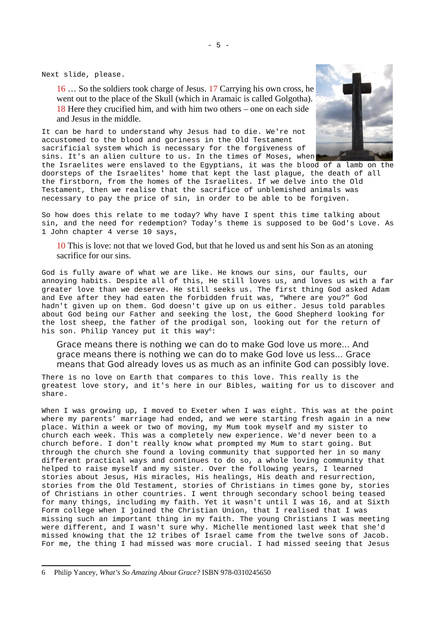Next slide, please.

16 … So the soldiers took charge of Jesus. 17 Carrying his own cross, he went out to the place of the Skull (which in Aramaic is called Golgotha). 18 Here they crucified him, and with him two others – one on each side and Jesus in the middle.

It can be hard to understand why Jesus had to die. We're not accustomed to the blood and goriness in the Old Testament sacrificial system which is necessary for the forgiveness of sins. It's an alien culture to us. In the times of Moses, when



So how does this relate to me today? Why have I spent this time talking about sin, and the need for redemption? Today's theme is supposed to be God's Love. As 1 John chapter 4 verse 10 says,

10 This is love: not that we loved God, but that he loved us and sent his Son as an atoning sacrifice for our sins.

God is fully aware of what we are like. He knows our sins, our faults, our annoying habits. Despite all of this, He still loves us, and loves us with a far greater love than we deserve. He still seeks us. The first thing God asked Adam and Eve after they had eaten the forbidden fruit was, "Where are you?" God hadn't given up on them. God doesn't give up on us either. Jesus told parables about God being our Father and seeking the lost, the Good Shepherd looking for the lost sheep, the father of the prodigal son, looking out for the return of his son. Philip Yancey put it this way<sup>[6](#page-4-0)</sup>:

Grace means there is nothing we can do to make God love us more... And grace means there is nothing we can do to make God love us less... Grace means that God already loves us as much as an infinite God can possibly love.

There is no love on Earth that compares to this love. This really is the greatest love story, and it's here in our Bibles, waiting for us to discover and share.

When I was growing up, I moved to Exeter when I was eight. This was at the point where my parents' marriage had ended, and we were starting fresh again in a new place. Within a week or two of moving, my Mum took myself and my sister to church each week. This was a completely new experience. We'd never been to a church before. I don't really know what prompted my Mum to start going. But through the church she found a loving community that supported her in so many different practical ways and continues to do so, a whole loving community that helped to raise myself and my sister. Over the following years, I learned stories about Jesus, His miracles, His healings, His death and resurrection, stories from the Old Testament, stories of Christians in times gone by, stories of Christians in other countries. I went through secondary school being teased for many things, including my faith. Yet it wasn't until I was 16, and at Sixth Form college when I joined the Christian Union, that I realised that I was missing such an important thing in my faith. The young Christians I was meeting were different, and I wasn't sure why. Michelle mentioned last week that she'd missed knowing that the 12 tribes of Israel came from the twelve sons of Jacob. For me, the thing I had missed was more crucial. I had missed seeing that Jesus

<span id="page-4-0"></span><sup>6</sup> Philip Yancey, *What's So Amazing About Grace?* ISBN 978-0310245650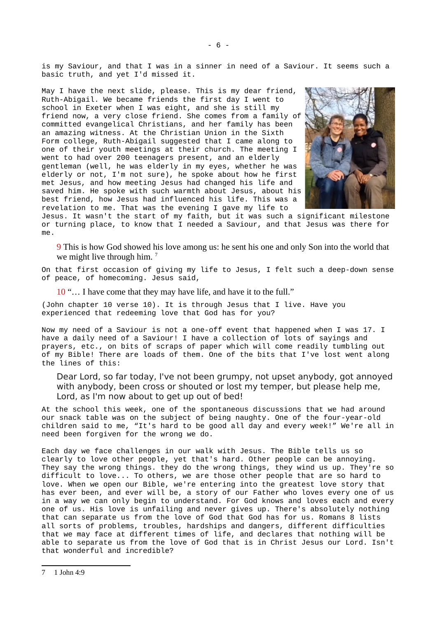is my Saviour, and that I was in a sinner in need of a Saviour. It seems such a basic truth, and yet I'd missed it.

May I have the next slide, please. This is my dear friend, Ruth-Abigail. We became friends the first day I went to school in Exeter when I was eight, and she is still my friend now, a very close friend. She comes from a family of committed evangelical Christians, and her family has been an amazing witness. At the Christian Union in the Sixth Form college, Ruth-Abigail suggested that I came along to one of their youth meetings at their church. The meeting I went to had over 200 teenagers present, and an elderly gentleman (well, he was elderly in my eyes, whether he was elderly or not, I'm not sure), he spoke about how he first met Jesus, and how meeting Jesus had changed his life and saved him. He spoke with such warmth about Jesus, about his best friend, how Jesus had influenced his life. This was a revelation to me. That was the evening I gave my life to



Jesus. It wasn't the start of my faith, but it was such a significant milestone or turning place, to know that I needed a Saviour, and that Jesus was there for  $m \rho$ .

9 This is how God showed his love among us: he sent his one and only Son into the world that we might live through him.<sup>[7](#page-5-0)</sup>

On that first occasion of giving my life to Jesus, I felt such a deep-down sense of peace, of homecoming. Jesus said,

10 "… I have come that they may have life, and have it to the full."

(John chapter 10 verse 10). It is through Jesus that I live. Have you experienced that redeeming love that God has for you?

Now my need of a Saviour is not a one-off event that happened when I was 17. I have a daily need of a Saviour! I have a collection of lots of sayings and prayers, etc., on bits of scraps of paper which will come readily tumbling out of my Bible! There are loads of them. One of the bits that I've lost went along the lines of this:

Dear Lord, so far today, I've not been grumpy, not upset anybody, got annoyed with anybody, been cross or shouted or lost my temper, but please help me, Lord, as I'm now about to get up out of bed!

At the school this week, one of the spontaneous discussions that we had around our snack table was on the subject of being naughty. One of the four-year-old children said to me, "It's hard to be good all day and every week!" We're all in need been forgiven for the wrong we do.

Each day we face challenges in our walk with Jesus. The Bible tells us so clearly to love other people, yet that's hard. Other people can be annoying. They say the wrong things. they do the wrong things, they wind us up. They're so difficult to love... To others, we are those other people that are so hard to love. When we open our Bible, we're entering into the greatest love story that has ever been, and ever will be, a story of our Father who loves every one of us in a way we can only begin to understand. For God knows and loves each and every one of us. His love is unfailing and never gives up. There's absolutely nothing that can separate us from the love of God that God has for us. Romans 8 lists all sorts of problems, troubles, hardships and dangers, different difficulties that we may face at different times of life, and declares that nothing will be able to separate us from the love of God that is in Christ Jesus our Lord. Isn't that wonderful and incredible?

<span id="page-5-0"></span><sup>7</sup> 1 John 4:9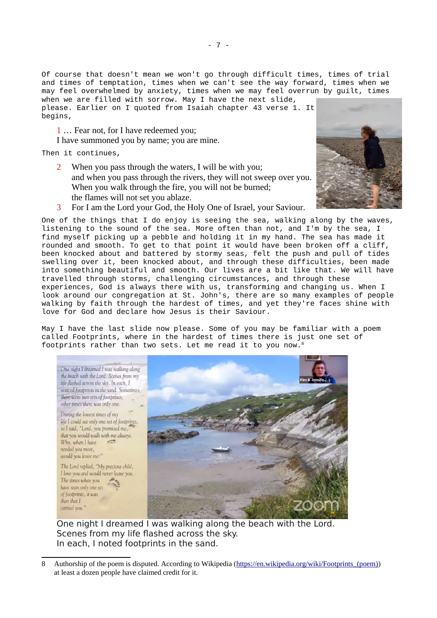Of course that doesn't mean we won't go through difficult times, times of trial and times of temptation, times when we can't see the way forward, times when we may feel overwhelmed by anxiety, times when we may feel overrun by guilt, times when we are filled with sorrow. May I have the next slide,

please. Earlier on I quoted from Isaiah chapter 43 verse 1. It begins,

1 … Fear not, for I have redeemed you;

I have summoned you by name; you are mine.

Then it continues,

- 2 When you pass through the waters, I will be with you; and when you pass through the rivers, they will not sweep over you. When you walk through the fire, you will not be burned; the flames will not set you ablaze.
- 
- 3 For I am the Lord your God, the Holy One of Israel, your Saviour.

One of the things that I do enjoy is seeing the sea, walking along by the waves, listening to the sound of the sea. More often than not, and I'm by the sea, I find myself picking up a pebble and holding it in my hand. The sea has made it rounded and smooth. To get to that point it would have been broken off a cliff, been knocked about and battered by stormy seas, felt the push and pull of tides swelling over it, been knocked about, and through these difficulties, been made into something beautiful and smooth. Our lives are a bit like that. We will have travelled through storms, challenging circumstances, and through these experiences, God is always there with us, transforming and changing us. When I look around our congregation at St. John's, there are so many examples of people walking by faith through the hardest of times, and yet they're faces shine with love for God and declare how Jesus is their Saviour.

May I have the last slide now please. Some of you may be familiar with a poem called Footprints, where in the hardest of times there is just one set of footprints rather than two sets. Let me read it to you now.[8](#page-6-0)



One night I dreamed I was walking along the beach with the Lord. Scenes from my life flashed across the sky. In each, I noted footprints in the sand.

<span id="page-6-0"></span><sup>8</sup> Authorship of the poem is disputed. According to Wikipedia (https://en.wikipedia.org/wiki/Footprints (poem)) at least a dozen people have claimed credit for it.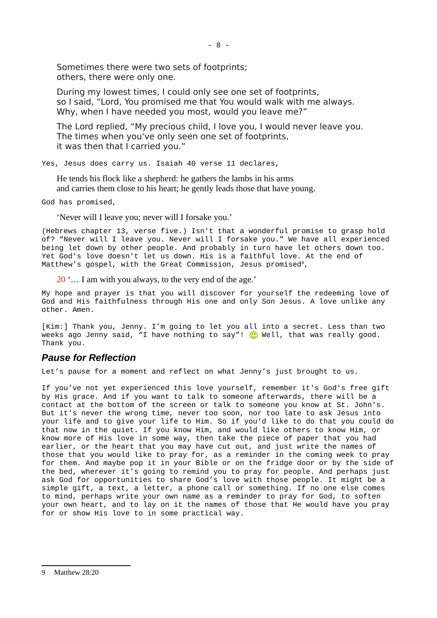Sometimes there were two sets of footprints; others, there were only one.

During my lowest times, I could only see one set of footprints, so I said, "Lord, You promised me that You would walk with me always. Why, when I have needed you most, would you leave me?"

The Lord replied, "My precious child, I love you, I would never leave you. The times when you've only seen one set of footprints, it was then that I carried you."

Yes, Jesus does carry us. Isaiah 40 verse 11 declares,

He tends his flock like a shepherd: he gathers the lambs in his arms and carries them close to his heart; he gently leads those that have young.

God has promised,

'Never will I leave you; never will I forsake you.'

(Hebrews chapter 13, verse five.) Isn't that a wonderful promise to grasp hold of? "Never will I leave you. Never will I forsake you." We have all experienced being let down by other people. And probably in turn have let others down too. Yet God's love doesn't let us down. His is a faithful love. At the end of Matthew's gospel, with the Great Commission, Jesus promised<sup>[9](#page-7-0)</sup>,

20 '… I am with you always, to the very end of the age.'

My hope and prayer is that you will discover for yourself the redeeming love of God and His faithfulness through His one and only Son Jesus. A love unlike any other. Amen.

[Kim:] Thank you, Jenny. I'm going to let you all into a secret. Less than two weeks ago Jenny said, "I have nothing to say"!  $\odot$  Well, that was really good. Thank you.

#### *Pause for Reflection*

Let's pause for a moment and reflect on what Jenny's just brought to us.

If you've not yet experienced this love yourself, remember it's God's free gift by His grace. And if you want to talk to someone afterwards, there will be a contact at the bottom of the screen or talk to someone you know at St. John's. But it's never the wrong time, never too soon, nor too late to ask Jesus into your life and to give your life to Him. So if you'd like to do that you could do that now in the quiet. If you know Him, and would like others to know Him, or know more of His love in some way, then take the piece of paper that you had earlier, or the heart that you may have cut out, and just write the names of those that you would like to pray for, as a reminder in the coming week to pray for them. And maybe pop it in your Bible or on the fridge door or by the side of the bed, wherever it's going to remind you to pray for people. And perhaps just ask God for opportunities to share God's love with those people. It might be a simple gift, a text, a letter, a phone call or something. If no one else comes to mind, perhaps write your own name as a reminder to pray for God, to soften your own heart, and to lay on it the names of those that He would have you pray for or show His love to in some practical way.

<span id="page-7-0"></span><sup>9</sup> Matthew 28:20